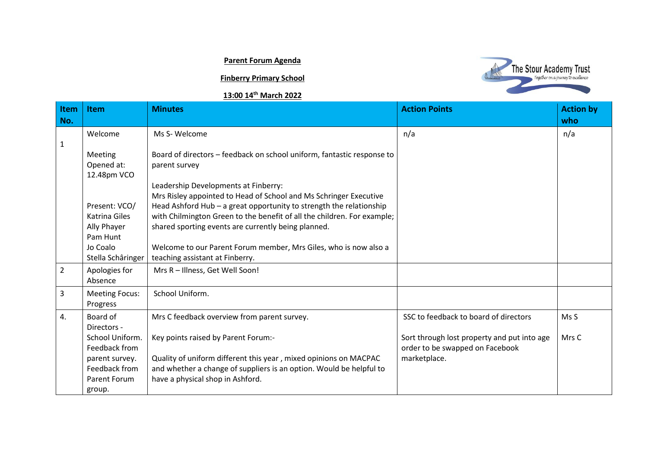## **Parent Forum Agenda**

## **Finberry Primary School**

## **13:00 14th March 2022**



| <b>Item</b><br>No. | <b>Item</b>                                                                                                                     | <b>Minutes</b>                                                                                                                                                                                                                                                                                                                                                                    | <b>Action Points</b>                                                                                                                    | <b>Action by</b><br>who |
|--------------------|---------------------------------------------------------------------------------------------------------------------------------|-----------------------------------------------------------------------------------------------------------------------------------------------------------------------------------------------------------------------------------------------------------------------------------------------------------------------------------------------------------------------------------|-----------------------------------------------------------------------------------------------------------------------------------------|-------------------------|
| 1                  | Welcome                                                                                                                         | Ms S-Welcome                                                                                                                                                                                                                                                                                                                                                                      | n/a                                                                                                                                     | n/a                     |
|                    | <b>Meeting</b><br>Opened at:<br>12.48pm VCO                                                                                     | Board of directors - feedback on school uniform, fantastic response to<br>parent survey<br>Leadership Developments at Finberry:                                                                                                                                                                                                                                                   |                                                                                                                                         |                         |
|                    | Present: VCO/<br>Katrina Giles<br>Ally Phayer<br>Pam Hunt<br>Jo Coalo<br>Stella Schâringer                                      | Mrs Risley appointed to Head of School and Ms Schringer Executive<br>Head Ashford Hub - a great opportunity to strength the relationship<br>with Chilmington Green to the benefit of all the children. For example;<br>shared sporting events are currently being planned.<br>Welcome to our Parent Forum member, Mrs Giles, who is now also a<br>teaching assistant at Finberry. |                                                                                                                                         |                         |
| $\overline{2}$     | Apologies for<br>Absence                                                                                                        | Mrs R - Illness, Get Well Soon!                                                                                                                                                                                                                                                                                                                                                   |                                                                                                                                         |                         |
| 3                  | <b>Meeting Focus:</b><br>Progress                                                                                               | School Uniform.                                                                                                                                                                                                                                                                                                                                                                   |                                                                                                                                         |                         |
| 4.                 | Board of<br>Directors -<br>School Uniform.<br>Feedback from<br>parent survey.<br>Feedback from<br><b>Parent Forum</b><br>group. | Mrs C feedback overview from parent survey.<br>Key points raised by Parent Forum:-<br>Quality of uniform different this year, mixed opinions on MACPAC<br>and whether a change of suppliers is an option. Would be helpful to<br>have a physical shop in Ashford.                                                                                                                 | SSC to feedback to board of directors<br>Sort through lost property and put into age<br>order to be swapped on Facebook<br>marketplace. | Ms S<br>Mrs C           |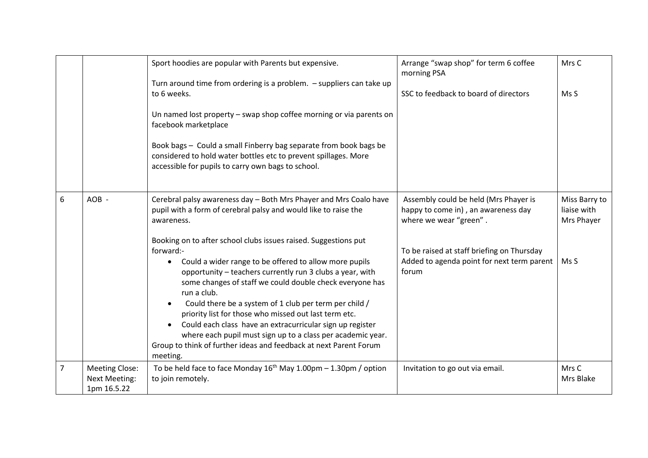|   |                                                              | Sport hoodies are popular with Parents but expensive.                                                                                                                                                                                                                                                                                                                                                                                                                                                                                                                                                                                    | Arrange "swap shop" for term 6 coffee<br>morning PSA                                                   | Mrs C                                      |
|---|--------------------------------------------------------------|------------------------------------------------------------------------------------------------------------------------------------------------------------------------------------------------------------------------------------------------------------------------------------------------------------------------------------------------------------------------------------------------------------------------------------------------------------------------------------------------------------------------------------------------------------------------------------------------------------------------------------------|--------------------------------------------------------------------------------------------------------|--------------------------------------------|
|   |                                                              | Turn around time from ordering is a problem. - suppliers can take up<br>to 6 weeks.                                                                                                                                                                                                                                                                                                                                                                                                                                                                                                                                                      | SSC to feedback to board of directors                                                                  | Ms S                                       |
|   |                                                              | Un named lost property - swap shop coffee morning or via parents on<br>facebook marketplace                                                                                                                                                                                                                                                                                                                                                                                                                                                                                                                                              |                                                                                                        |                                            |
|   |                                                              | Book bags - Could a small Finberry bag separate from book bags be<br>considered to hold water bottles etc to prevent spillages. More<br>accessible for pupils to carry own bags to school.                                                                                                                                                                                                                                                                                                                                                                                                                                               |                                                                                                        |                                            |
| 6 | AOB-                                                         | Cerebral palsy awareness day - Both Mrs Phayer and Mrs Coalo have<br>pupil with a form of cerebral palsy and would like to raise the<br>awareness.                                                                                                                                                                                                                                                                                                                                                                                                                                                                                       | Assembly could be held (Mrs Phayer is<br>happy to come in), an awareness day<br>where we wear "green". | Miss Barry to<br>liaise with<br>Mrs Phayer |
|   |                                                              | Booking on to after school clubs issues raised. Suggestions put<br>forward:-<br>Could a wider range to be offered to allow more pupils<br>$\bullet$<br>opportunity - teachers currently run 3 clubs a year, with<br>some changes of staff we could double check everyone has<br>run a club.<br>Could there be a system of 1 club per term per child /<br>$\bullet$<br>priority list for those who missed out last term etc.<br>Could each class have an extracurricular sign up register<br>where each pupil must sign up to a class per academic year.<br>Group to think of further ideas and feedback at next Parent Forum<br>meeting. | To be raised at staff briefing on Thursday<br>Added to agenda point for next term parent<br>forum      | Ms S                                       |
| 7 | <b>Meeting Close:</b><br><b>Next Meeting:</b><br>1pm 16.5.22 | To be held face to face Monday $16^{th}$ May $1.00 \text{pm} - 1.30 \text{pm}$ / option<br>to join remotely.                                                                                                                                                                                                                                                                                                                                                                                                                                                                                                                             | Invitation to go out via email.                                                                        | Mrs C<br>Mrs Blake                         |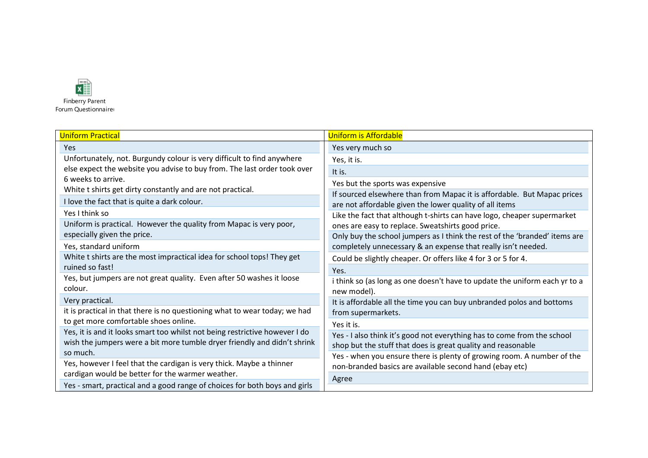

| <b>Uniform Practical</b>                                                    | <b>Uniform is Affordable</b>                                                                                                 |  |
|-----------------------------------------------------------------------------|------------------------------------------------------------------------------------------------------------------------------|--|
| <b>Yes</b>                                                                  | Yes very much so                                                                                                             |  |
| Unfortunately, not. Burgundy colour is very difficult to find anywhere      | Yes, it is.                                                                                                                  |  |
| else expect the website you advise to buy from. The last order took over    | It is.                                                                                                                       |  |
| 6 weeks to arrive.                                                          | Yes but the sports was expensive                                                                                             |  |
| White t shirts get dirty constantly and are not practical.                  | If sourced elsewhere than from Mapac it is affordable. But Mapac prices                                                      |  |
| I love the fact that is quite a dark colour.                                | are not affordable given the lower quality of all items                                                                      |  |
| Yes I think so                                                              | Like the fact that although t-shirts can have logo, cheaper supermarket<br>ones are easy to replace. Sweatshirts good price. |  |
| Uniform is practical. However the quality from Mapac is very poor,          |                                                                                                                              |  |
| especially given the price.                                                 | Only buy the school jumpers as I think the rest of the 'branded' items are                                                   |  |
| Yes, standard uniform                                                       | completely unnecessary & an expense that really isn't needed.                                                                |  |
| White t shirts are the most impractical idea for school tops! They get      | Could be slightly cheaper. Or offers like 4 for 3 or 5 for 4.                                                                |  |
| ruined so fast!                                                             | Yes.                                                                                                                         |  |
| Yes, but jumpers are not great quality. Even after 50 washes it loose       | i think so (as long as one doesn't have to update the uniform each yr to a                                                   |  |
| colour.                                                                     | new model).                                                                                                                  |  |
| Very practical.                                                             | It is affordable all the time you can buy unbranded polos and bottoms                                                        |  |
| it is practical in that there is no questioning what to wear today; we had  | from supermarkets.                                                                                                           |  |
| to get more comfortable shoes online.                                       | Yes it is.                                                                                                                   |  |
| Yes, it is and it looks smart too whilst not being restrictive however I do | Yes - I also think it's good not everything has to come from the school                                                      |  |
| wish the jumpers were a bit more tumble dryer friendly and didn't shrink    | shop but the stuff that does is great quality and reasonable                                                                 |  |
| so much.                                                                    | Yes - when you ensure there is plenty of growing room. A number of the                                                       |  |
| Yes, however I feel that the cardigan is very thick. Maybe a thinner        | non-branded basics are available second hand (ebay etc)                                                                      |  |
| cardigan would be better for the warmer weather.                            | Agree                                                                                                                        |  |
| Yes - smart, practical and a good range of choices for both boys and girls  |                                                                                                                              |  |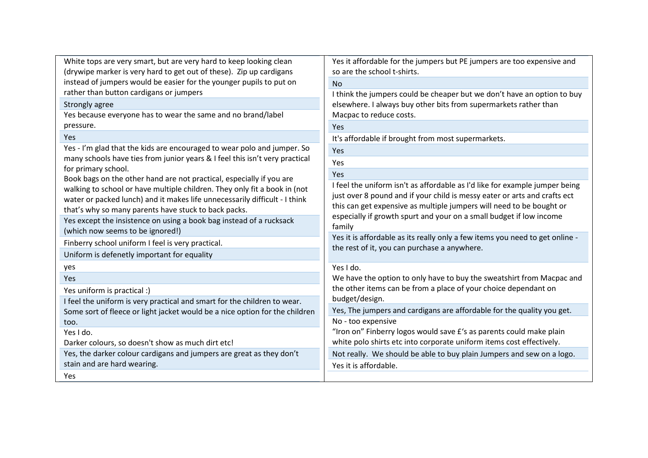| White tops are very smart, but are very hard to keep looking clean                          | Yes it affordable for the jumpers but PE jumpers are too expensive and                                                                                                                                                             |  |
|---------------------------------------------------------------------------------------------|------------------------------------------------------------------------------------------------------------------------------------------------------------------------------------------------------------------------------------|--|
| (drywipe marker is very hard to get out of these). Zip up cardigans                         | so are the school t-shirts.                                                                                                                                                                                                        |  |
| instead of jumpers would be easier for the younger pupils to put on                         | N <sub>o</sub>                                                                                                                                                                                                                     |  |
| rather than button cardigans or jumpers                                                     | I think the jumpers could be cheaper but we don't have an option to buy<br>elsewhere. I always buy other bits from supermarkets rather than<br>Macpac to reduce costs.                                                             |  |
| Strongly agree                                                                              |                                                                                                                                                                                                                                    |  |
| Yes because everyone has to wear the same and no brand/label                                |                                                                                                                                                                                                                                    |  |
| pressure.                                                                                   | Yes                                                                                                                                                                                                                                |  |
| <b>Yes</b>                                                                                  | It's affordable if brought from most supermarkets.                                                                                                                                                                                 |  |
| Yes - I'm glad that the kids are encouraged to wear polo and jumper. So                     | Yes                                                                                                                                                                                                                                |  |
| many schools have ties from junior years & I feel this isn't very practical                 | Yes                                                                                                                                                                                                                                |  |
| for primary school.<br>Book bags on the other hand are not practical, especially if you are | Yes                                                                                                                                                                                                                                |  |
| walking to school or have multiple children. They only fit a book in (not                   | I feel the uniform isn't as affordable as I'd like for example jumper being                                                                                                                                                        |  |
| water or packed lunch) and it makes life unnecessarily difficult - I think                  | just over 8 pound and if your child is messy eater or arts and crafts ect<br>this can get expensive as multiple jumpers will need to be bought or<br>especially if growth spurt and your on a small budget if low income<br>family |  |
| that's why so many parents have stuck to back packs.                                        |                                                                                                                                                                                                                                    |  |
| Yes except the insistence on using a book bag instead of a rucksack                         |                                                                                                                                                                                                                                    |  |
| (which now seems to be ignored!)                                                            |                                                                                                                                                                                                                                    |  |
| Finberry school uniform I feel is very practical.                                           | Yes it is affordable as its really only a few items you need to get online -                                                                                                                                                       |  |
| Uniform is defenetly important for equality                                                 | the rest of it, you can purchase a anywhere.                                                                                                                                                                                       |  |
| yes                                                                                         | Yes I do.                                                                                                                                                                                                                          |  |
| Yes                                                                                         | We have the option to only have to buy the sweatshirt from Macpac and                                                                                                                                                              |  |
| Yes uniform is practical :)                                                                 | the other items can be from a place of your choice dependant on                                                                                                                                                                    |  |
| I feel the uniform is very practical and smart for the children to wear.                    | budget/design.                                                                                                                                                                                                                     |  |
| Some sort of fleece or light jacket would be a nice option for the children                 | Yes, The jumpers and cardigans are affordable for the quality you get.                                                                                                                                                             |  |
| too.                                                                                        | No - too expensive                                                                                                                                                                                                                 |  |
| Yes I do.                                                                                   | "Iron on" Finberry logos would save £'s as parents could make plain<br>white polo shirts etc into corporate uniform items cost effectively.                                                                                        |  |
| Darker colours, so doesn't show as much dirt etc!                                           |                                                                                                                                                                                                                                    |  |
| Yes, the darker colour cardigans and jumpers are great as they don't                        | Not really. We should be able to buy plain Jumpers and sew on a logo.                                                                                                                                                              |  |
| stain and are hard wearing.                                                                 | Yes it is affordable.                                                                                                                                                                                                              |  |
| Yes                                                                                         |                                                                                                                                                                                                                                    |  |
|                                                                                             |                                                                                                                                                                                                                                    |  |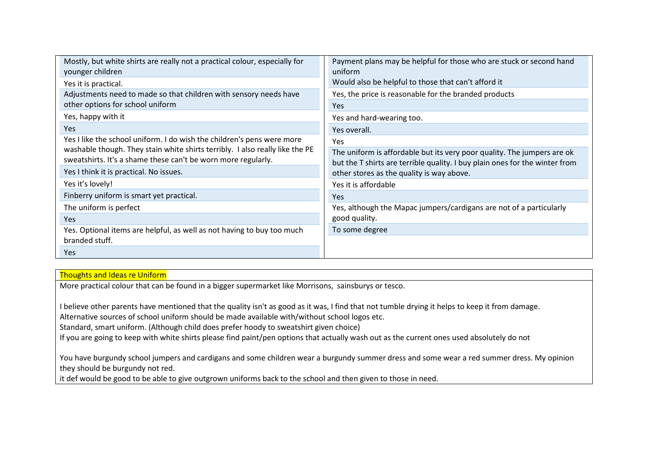| Mostly, but white shirts are really not a practical colour, especially for<br>younger children | Payment plans may be helpful for those who are stuck or second hand<br>uniform |  |
|------------------------------------------------------------------------------------------------|--------------------------------------------------------------------------------|--|
| Yes it is practical.                                                                           | Would also be helpful to those that can't afford it                            |  |
| Adjustments need to made so that children with sensory needs have                              | Yes, the price is reasonable for the branded products                          |  |
| other options for school uniform                                                               | Yes                                                                            |  |
| Yes, happy with it                                                                             | Yes and hard-wearing too.                                                      |  |
| Yes                                                                                            | Yes overall.                                                                   |  |
| Yes I like the school uniform. I do wish the children's pens were more                         | Yes                                                                            |  |
| washable though. They stain white shirts terribly. I also really like the PE                   | The uniform is affordable but its very poor quality. The jumpers are ok        |  |
| sweatshirts. It's a shame these can't be worn more regularly.                                  | but the T shirts are terrible quality. I buy plain ones for the winter from    |  |
| Yes I think it is practical. No issues.                                                        | other stores as the quality is way above.                                      |  |
| Yes it's lovely!                                                                               | Yes it is affordable                                                           |  |
| Finberry uniform is smart yet practical.                                                       | <b>Yes</b>                                                                     |  |
| The uniform is perfect                                                                         | Yes, although the Mapac jumpers/cardigans are not of a particularly            |  |
| Yes.                                                                                           | good quality.                                                                  |  |
| Yes. Optional items are helpful, as well as not having to buy too much                         | To some degree                                                                 |  |
| branded stuff.                                                                                 |                                                                                |  |
| <b>Yes</b>                                                                                     |                                                                                |  |

## Thoughts and Ideas re Uniform

More practical colour that can be found in a bigger supermarket like Morrisons, sainsburys or tesco.

I believe other parents have mentioned that the quality isn't as good as it was, I find that not tumble drying it helps to keep it from damage.

Alternative sources of school uniform should be made available with/without school logos etc.

Standard, smart uniform. (Although child does prefer hoody to sweatshirt given choice)

If you are going to keep with white shirts please find paint/pen options that actually wash out as the current ones used absolutely do not

You have burgundy school jumpers and cardigans and some children wear a burgundy summer dress and some wear a red summer dress. My opinion they should be burgundy not red.

it def would be good to be able to give outgrown uniforms back to the school and then given to those in need.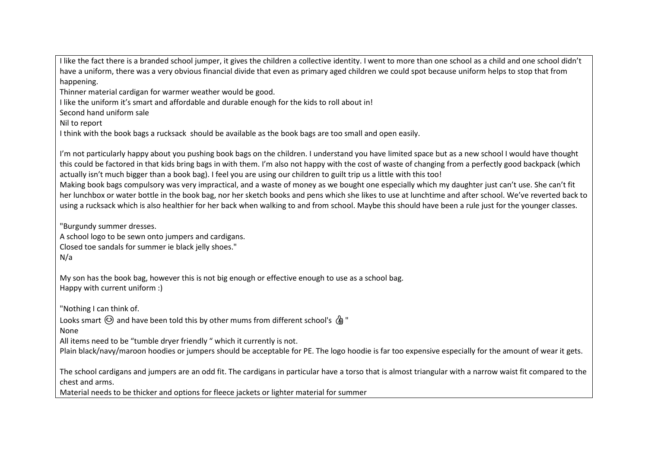I like the fact there is a branded school jumper, it gives the children a collective identity. I went to more than one school as a child and one school didn't have a uniform, there was a very obvious financial divide that even as primary aged children we could spot because uniform helps to stop that from happening.

Thinner material cardigan for warmer weather would be good.

I like the uniform it's smart and affordable and durable enough for the kids to roll about in!

Second hand uniform sale

Nil to report

I think with the book bags a rucksack should be available as the book bags are too small and open easily.

I'm not particularly happy about you pushing book bags on the children. I understand you have limited space but as a new school I would have thought this could be factored in that kids bring bags in with them. I'm also not happy with the cost of waste of changing from a perfectly good backpack (which actually isn't much bigger than a book bag). I feel you are using our children to guilt trip us a little with this too!

Making book bags compulsory was very impractical, and a waste of money as we bought one especially which my daughter just can't use. She can't fit her lunchbox or water bottle in the book bag, nor her sketch books and pens which she likes to use at lunchtime and after school. We've reverted back to using a rucksack which is also healthier for her back when walking to and from school. Maybe this should have been a rule just for the younger classes.

"Burgundy summer dresses.

A school logo to be sewn onto jumpers and cardigans. Closed toe sandals for summer ie black jelly shoes." N/a

My son has the book bag, however this is not big enough or effective enough to use as a school bag. Happy with current uniform :)

"Nothing I can think of.

Looks smart  $\odot$  and have been told this by other mums from different school's  $\ell$  "

None

All items need to be "tumble dryer friendly " which it currently is not.

Plain black/navy/maroon hoodies or jumpers should be acceptable for PE. The logo hoodie is far too expensive especially for the amount of wear it gets.

The school cardigans and jumpers are an odd fit. The cardigans in particular have a torso that is almost triangular with a narrow waist fit compared to the chest and arms.

Material needs to be thicker and options for fleece jackets or lighter material for summer